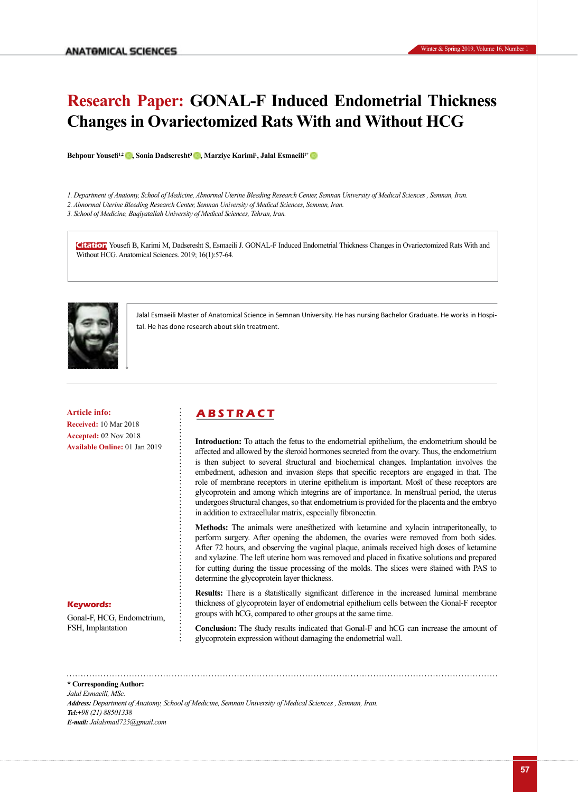# **Research Paper: GONAL-F Induced Endometrial Thickness Changes in Ovariectomized Rats With and Without HCG**

**Behpour Yousefi1,2 [,](https://orcid.org/0000-0001-9678-517X) Sonia Dadseresht3 [,](https://orcid.org/0000-0003-2582-3313) Marziye Karimi1 , Jalal Esmaeili1[\\*](https://orcid.org/0000-0001-8377-5677)**

*1. Department of Anatomy, School of Medicine, Abnormal Uterine Bleeding Research Center, Semnan University of Medical Sciences , Semnan, Iran.*

*2. Abnormal Uterine Bleeding Research Center, Semnan University of Medical Sciences, Semnan, Iran.*

*3. School of Medicine, Baqiyatallah University of Medical Sciences, Tehran, Iran.*

**Citation** Yousefi B, Karimi M, Dadseresht S, Esmaeili J. GONAL-F Induced Endometrial Thickness Changes in Ovariectomized Rats With and Without HCG. Anatomical Sciences. 2019; 16(1):57-64.



Jalal Esmaeili Master of Anatomical Science in Semnan University. He has nursing Bachelor Graduate. He works in Hospital. He has done research about skin treatment.

**Received:** 10 Mar 2018 **Accepted:** 02 Nov 2018 **Available Online:** 01 Jan 2019

## **Article info: A B S T R A C T**

**Introduction:** To attach the fetus to the endometrial epithelium, the endometrium should be affected and allowed by the steroid hormones secreted from the ovary. Thus, the endometrium is then subject to several structural and biochemical changes. Implantation involves the embedment, adhesion and invasion steps that specific receptors are engaged in that. The role of membrane receptors in uterine epithelium is important. Most of these receptors are glycoprotein and among which integrins are of importance. In menstrual period, the uterus undergoes structural changes, so that endometrium is provided for the placenta and the embryo in addition to extracellular matrix, especially fibronectin.

**Methods:** The animals were anesthetized with ketamine and xylacin intraperitoneally, to perform surgery. After opening the abdomen, the ovaries were removed from both sides. After 72 hours, and observing the vaginal plaque, animals received high doses of ketamine and xylazine. The left uterine horn was removed and placed in fixative solutions and prepared for cutting during the tissue processing of the molds. The slices were stained with PAS to determine the glycoprotein layer thickness.

**Results:** There is a statistically significant difference in the increased luminal membrane thickness of glycoprotein layer of endometrial epithelium cells between the Gonal-F receptor groups with hCG, compared to other groups at the same time.

**Conclusion:** The study results indicated that Gonal-F and hCG can increase the amount of glycoprotein expression without damaging the endometrial wall.

### **Keywords:**

Gonal-F, HCG, Endometrium, FSH, Implantation

**\* Corresponding Author:** *Jalal Esmaeili, MSc. Address: Department of Anatomy, School of Medicine, Semnan University of Medical Sciences , Semnan, Iran. Tel:+98 (21) 88501338 E-mail: Jalalsmail725@gmail.com*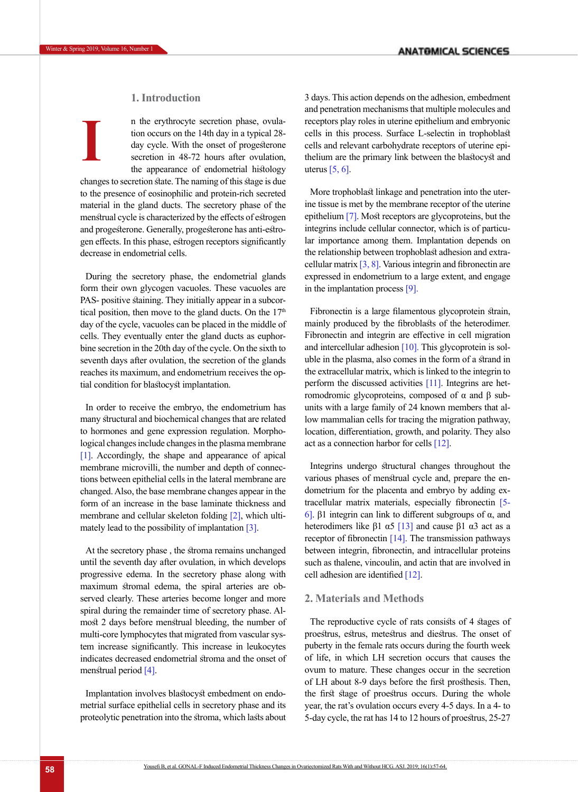### **1. Introduction**

n the erythrocyte secretion phase, ovulation occurs on the 14th day in a typical 28 day cycle. With the onset of progesterone secretion in 48-72 hours after ovulation, the appearance of endometrial histology changes to secretion state. The naming of this stage is due to the presence of eosinophilic and protein-rich secreted material in the gland ducts. The secretory phase of the menstrual cycle is characterized by the effects of estrogen and progesterone. Generally, progesterone has anti-estrogen effects. In this phase, estrogen receptors significantly decrease in endometrial cells. **I**

During the secretory phase, the endometrial glands form their own glycogen vacuoles. These vacuoles are PAS- positive staining. They initially appear in a subcortical position, then move to the gland ducts. On the  $17<sup>th</sup>$ day of the cycle, vacuoles can be placed in the middle of cells. They eventually enter the gland ducts as euphorbine secretion in the 20th day of the cycle. On the sixth to seventh days after ovulation, the secretion of the glands reaches its maximum, and endometrium receives the optial condition for blastocyst implantation.

In order to receive the embryo, the endometrium has many structural and biochemical changes that are related to hormones and gene expression regulation. Morphological changes include changes in the plasma membrane [\[1\]](#page-6-0). Accordingly, the shape and appearance of apical membrane microvilli, the number and depth of connections between epithelial cells in the lateral membrane are changed. Also, the base membrane changes appear in the form of an increase in the base laminate thickness and membrane and cellular skeleton folding [\[2\]](#page-6-1), which ultimately lead to the possibility of implantation [3].

At the secretory phase , the stroma remains unchanged until the seventh day after ovulation, in which develops progressive edema. In the secretory phase along with maximum stromal edema, the spiral arteries are observed clearly. These arteries become longer and more spiral during the remainder time of secretory phase. Almost 2 days before menstrual bleeding, the number of multi-core lymphocytes that migrated from vascular system increase significantly. This increase in leukocytes indicates decreased endometrial stroma and the onset of menstrual period [\[4\]](#page-6-2).

Implantation involves blastocyst embedment on endometrial surface epithelial cells in secretory phase and its proteolytic penetration into the stroma, which lasts about 3 days. This action depends on the adhesion, embedment and penetration mechanisms that multiple molecules and receptors play roles in uterine epithelium and embryonic cells in this process. Surface L-selectin in trophoblast cells and relevant carbohydrate receptors of uterine epithelium are the primary link between the blastocyst and uterus [\[5,](#page-6-3) [6\]](#page-6-4).

More trophoblast linkage and penetration into the uterine tissue is met by the membrane receptor of the uterine epithelium [\[7\]](#page-6-5). Most receptors are glycoproteins, but the integrins include cellular connector, which is of particular importance among them. Implantation depends on the relationship between trophoblast adhesion and extracellular matrix  $[3, 8]$  $[3, 8]$ . Various integrin and fibronectin are expressed in endometrium to a large extent, and engage in the implantation process [\[9\].](#page-6-7)

Fibronectin is a large filamentous glycoprotein strain, mainly produced by the fibroblasts of the heterodimer. Fibronectin and integrin are effective in cell migration and intercellular adhesion  $[10]$ . This glycoprotein is soluble in the plasma, also comes in the form of a strand in the extracellular matrix, which is linked to the integrin to perform the discussed activities [\[11\]](#page-7-0). Integrins are hetromodromic glycoproteins, composed of α and β subunits with a large family of 24 known members that allow mammalian cells for tracing the migration pathway, location, differentiation, growth, and polarity. They also act as a connection harbor for cells [\[12\]](#page-7-1).

Integrins undergo structural changes throughout the various phases of menstrual cycle and, prepare the endometrium for the placenta and embryo by adding extracellular matrix materials, especially fibronectin [\[5-](#page-6-3)  [6\].](#page-6-3) β1 integrin can link to different subgroups of α, and heterodimers like β1  $\alpha$ 5 [13] and cause β1  $\alpha$ 3 act as a receptor of fibronectin [\[14\]](#page-7-2). The transmission pathways between integrin, fibronectin, and intracellular proteins such as thalene, vincoulin, and actin that are involved in cell adhesion are identified [\[12\]](#page-7-1).

#### **2. Materials and Methods**

The reproductive cycle of rats consists of 4 stages of proestrus, estrus, metestrus and diestrus. The onset of puberty in the female rats occurs during the fourth week of life, in which LH secretion occurs that causes the ovum to mature. These changes occur in the secretion of LH about 8-9 days before the first prosthesis. Then, the first stage of proestrus occurs. During the whole year, the rat's ovulation occurs every 4-5 days. In a 4- to 5-day cycle, the rat has 14 to 12 hours of proestrus, 25-27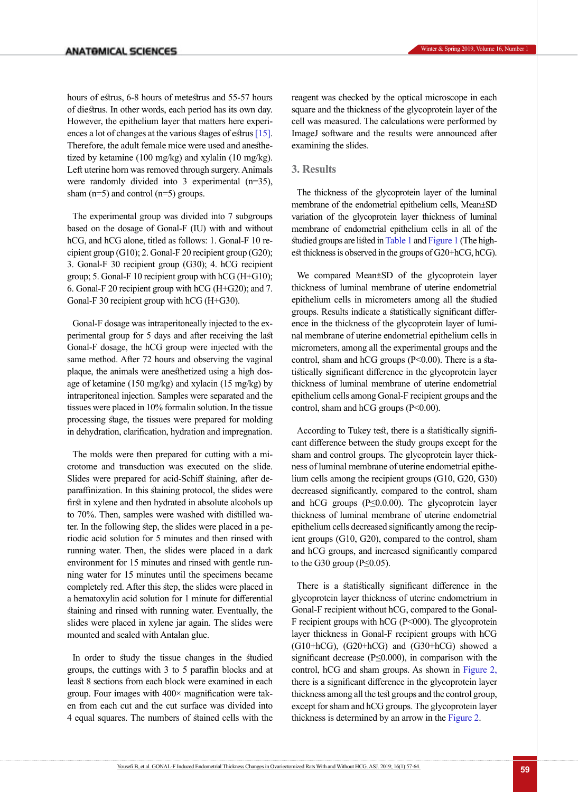hours of estrus, 6-8 hours of metestrus and 55-57 hours of diestrus. In other words, each period has its own day. However, the epithelium layer that matters here experiences a lot of changes at the various stages of estru[s \[15\]](#page-7-3). Therefore, the adult female mice were used and anesthetized by ketamine (100 mg/kg) and xylalin (10 mg/kg). Left uterine horn was removed through surgery. Animals were randomly divided into 3 experimental (n=35), sham  $(n=5)$  and control  $(n=5)$  groups.

The experimental group was divided into 7 subgroups based on the dosage of Gonal-F (IU) with and without hCG, and hCG alone, titled as follows: 1. Gonal-F 10 recipient group (G10); 2. Gonal-F 20 recipient group (G20); 3. Gonal-F 30 recipient group (G30); 4. hCG recipient group; 5. Gonal-F 10 recipient group with  $hCG$  (H+G10); 6. Gonal-F 20 recipient group with hCG (H+G20); and 7. Gonal-F 30 recipient group with hCG (H+G30).

Gonal-F dosage was intraperitoneally injected to the experimental group for 5 days and after receiving the last Gonal-F dosage, the hCG group were injected with the same method. After 72 hours and observing the vaginal plaque, the animals were anesthetized using a high dosage of ketamine (150 mg/kg) and xylacin (15 mg/kg) by intraperitoneal injection. Samples were separated and the tissues were placed in 10% formalin solution. In the tissue processing stage, the tissues were prepared for molding in dehydration, clarification, hydration and impregnation.

The molds were then prepared for cutting with a microtome and transduction was executed on the slide. Slides were prepared for acid-Schiff staining, after deparaffinization. In this staining protocol, the slides were first in xylene and then hydrated in absolute alcohols up to 70%. Then, samples were washed with distilled water. In the following step, the slides were placed in a periodic acid solution for 5 minutes and then rinsed with running water. Then, the slides were placed in a dark environment for 15 minutes and rinsed with gentle running water for 15 minutes until the specimens became completely red. After this step, the slides were placed in a hematoxylin acid solution for 1 minute for differential staining and rinsed with running water. Eventually, the slides were placed in xylene jar again. The slides were mounted and sealed with Antalan glue.

In order to study the tissue changes in the studied groups, the cuttings with 3 to 5 paraffin blocks and at least 8 sections from each block were examined in each group. Four images with 400× magnification were taken from each cut and the cut surface was divided into 4 equal squares. The numbers of stained cells with the reagent was checked by the optical microscope in each square and the thickness of the glycoprotein layer of the cell was measured. The calculations were performed by ImageJ software and the results were announced after examining the slides.

#### **3. Results**

The thickness of the glycoprotein layer of the luminal membrane of the endometrial epithelium cells, Mean±SD variation of the glycoprotein layer thickness of luminal membrane of endometrial epithelium cells in all of the studied groups are listed in [Table 1](#page-3-0) and [Figure 1](#page-3-1) (The highest thickness is observed in the groups of G20+hCG, hCG).

We compared Mean±SD of the glycoprotein layer thickness of luminal membrane of uterine endometrial epithelium cells in micrometers among all the studied groups. Results indicate a statistically significant difference in the thickness of the glycoprotein layer of luminal membrane of uterine endometrial epithelium cells in micrometers, among all the experimental groups and the control, sham and hCG groups  $(P< 0.00)$ . There is a statistically significant difference in the glycoprotein layer thickness of luminal membrane of uterine endometrial epithelium cells among Gonal-F recipient groups and the control, sham and hCG groups  $(P<0.00)$ .

According to Tukey test, there is a statistically significant difference between the study groups except for the sham and control groups. The glycoprotein layer thickness of luminal membrane of uterine endometrial epithelium cells among the recipient groups (G10, G20, G30) decreased significantly, compared to the control, sham and hCG groups (P≤0.0.00). The glycoprotein layer thickness of luminal membrane of uterine endometrial epithelium cells decreased significantly among the recipient groups (G10, G20), compared to the control, sham and hCG groups, and increased significantly compared to the G30 group ( $P \le 0.05$ ).

There is a statistically significant difference in the glycoprotein layer thickness of uterine endometrium in Gonal-F recipient without hCG, compared to the Gonal-F recipient groups with hCG (P<000). The glycoprotein layer thickness in Gonal-F recipient groups with hCG (G10+hCG), (G20+hCG) and (G30+hCG) showed a significant decrease ( $P \leq 0.000$ ), in comparison with the control, hCG and sham groups. As shown in [Figure 2,](#page-4-0)  there is a significant difference in the glycoprotein layer thickness among all the test groups and the control group, except for sham and hCG groups. The glycoprotein layer thickness is determined by an arrow in the [Figure 2](#page-4-0).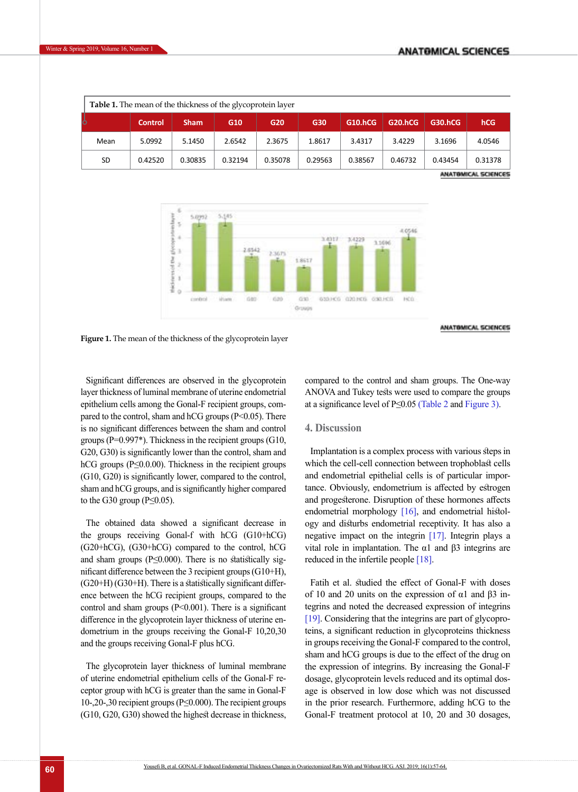ANATOMICAL SCIENCES

| <b>Table 1.</b> The mean of the thickness of the glycoprotein layer |                |             |                 |         |         |         |         |                |         |  |  |
|---------------------------------------------------------------------|----------------|-------------|-----------------|---------|---------|---------|---------|----------------|---------|--|--|
| ს                                                                   | <b>Control</b> | <b>Sham</b> | G <sub>10</sub> | G20     | G30     | G10.hCG | G20.hCG | <b>G30.hCG</b> | hCG     |  |  |
| Mean                                                                | 5.0992         | 5.1450      | 2.6542          | 2.3675  | 1.8617  | 3.4317  | 3.4229  | 3.1696         | 4.0546  |  |  |
| <b>SD</b>                                                           | 0.42520        | 0.30835     | 0.32194         | 0.35078 | 0.29563 | 0.38567 | 0.46732 | 0.43454        | 0.31378 |  |  |

<span id="page-3-0"></span>



<span id="page-3-1"></span>**Figure 1.** The mean of the thickness of the glycoprotein layer

Significant differences are observed in the glycoprotein layer thickness of luminal membrane of uterine endometrial epithelium cells among the Gonal-F recipient groups, compared to the control, sham and hCG groups (P<0.05). There is no significant differences between the sham and control groups ( $P=0.997$ <sup>\*</sup>). Thickness in the recipient groups (G10, G20, G30) is significantly lower than the control, sham and hCG groups ( $P \le 0.000$ ). Thickness in the recipient groups (G10, G20) is significantly lower, compared to the control, sham and hCG groups, and is significantly higher compared to the G30 group ( $P \leq 0.05$ ).

The obtained data showed a significant decrease in the groups receiving Gonal-f with hCG (G10+hCG) (G20+hCG), (G30+hCG) compared to the control, hCG and sham groups ( $P \leq 0.000$ ). There is no statistically significant difference between the 3 recipient groups (G10+H),  $(G20+H)$   $(G30+H)$ . There is a statistically significant difference between the hCG recipient groups, compared to the control and sham groups  $(P<0.001)$ . There is a significant difference in the glycoprotein layer thickness of uterine endometrium in the groups receiving the Gonal-F 10,20,30 and the groups receiving Gonal-F plus hCG.

The glycoprotein layer thickness of luminal membrane of uterine endometrial epithelium cells of the Gonal-F receptor group with hCG is greater than the same in Gonal-F 10-,20-,30 recipient groups (P≤0.000). The recipient groups (G10, G20, G30) showed the highest decrease in thickness,

compared to the control and sham groups. The One-way ANOVA and Tukey tests were used to compare the groups at a significance level of P≤0.05 (Table 2 and Figure 3).

#### **4. Discussion**

Implantation is a complex process with various steps in which the cell-cell connection between trophoblast cells and endometrial epithelial cells is of particular importance. Obviously, endometrium is affected by estrogen and progesterone. Disruption of these hormones affects endometrial morphology [\[16\]](#page-7-4), and endometrial histology and disturbs endometrial receptivity. It has also a negative impact on the integrin [\[17\].](#page-7-5) Integrin plays a vital role in implantation. The  $α1$  and  $β3$  integrins are reduced in the infertile people [\[18\]](#page-7-6).

Fatih et al. studied the effect of Gonal-F with doses of 10 and 20 units on the expression of  $\alpha$ 1 and  $\beta$ 3 integrins and noted the decreased expression of integrins [\[19\]](#page-7-7). Considering that the integrins are part of glycoproteins, a significant reduction in glycoproteins thickness in groups receiving the Gonal-F compared to the control, sham and hCG groups is due to the effect of the drug on the expression of integrins. By increasing the Gonal-F dosage, glycoprotein levels reduced and its optimal dosage is observed in low dose which was not discussed in the prior research. Furthermore, adding hCG to the Gonal-F treatment protocol at 10, 20 and 30 dosages,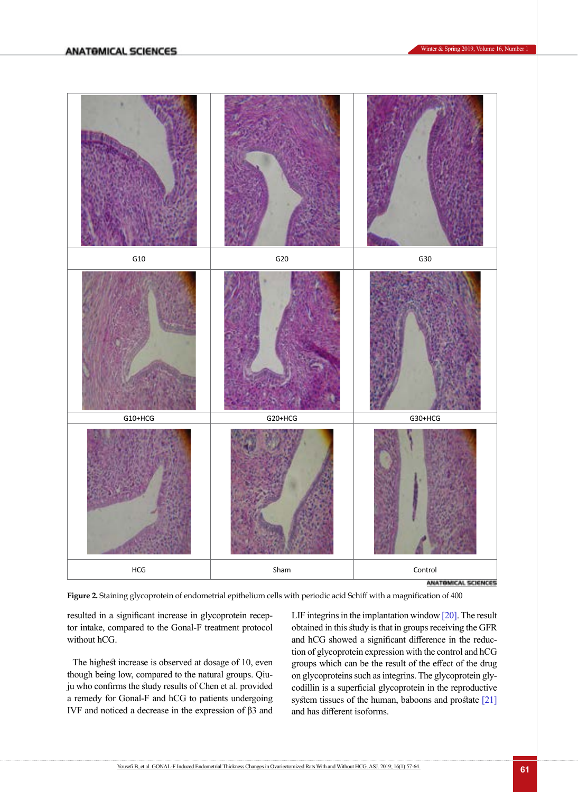

<span id="page-4-0"></span>**Figure 2.** Staining glycoprotein of endometrial epithelium cells with periodic acid Schiff with a magnification of 400

resulted in a significant increase in glycoprotein receptor intake, compared to the Gonal-F treatment protocol without hCG.

The highest increase is observed at dosage of 10, even though being low, compared to the natural groups. Qiuju who confirms the study results of Chen et al. provided a remedy for Gonal-F and hCG to patients undergoing IVF and noticed a decrease in the expression of β3 and LIF integrins in the implantation window [\[20\]](#page-7-8). The result obtained in this study is that in groups receiving the GFR and hCG showed a significant difference in the reduction of glycoprotein expression with the control and hCG groups which can be the result of the effect of the drug on glycoproteins such as integrins. The glycoprotein glycodillin is a superficial glycoprotein in the reproductive system tissues of the human, baboons and prostate [21] and has different isoforms.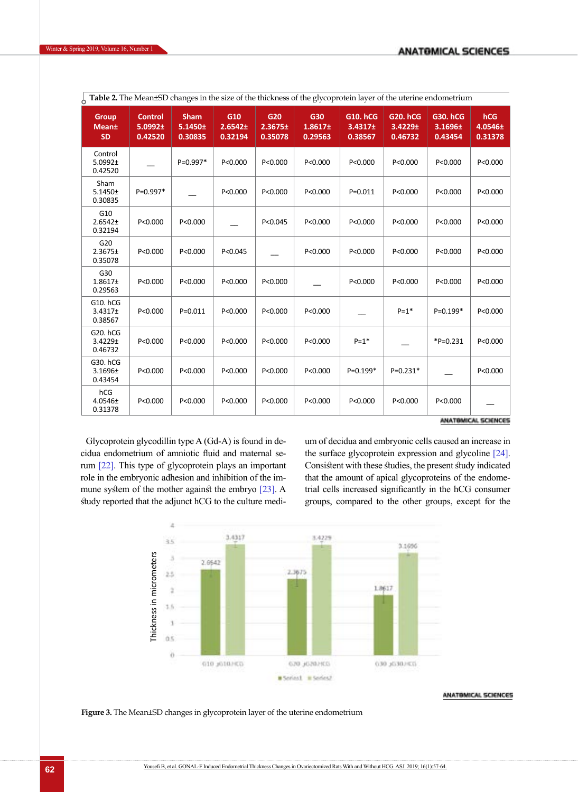| <b>Table 2.</b> The Mean±SD changes in the size of the thickness of the glycoprotein layer of the uterine endometrium |                                      |                                        |                                |                           |                           |                                       |                                       |                                            |                                  |  |  |
|-----------------------------------------------------------------------------------------------------------------------|--------------------------------------|----------------------------------------|--------------------------------|---------------------------|---------------------------|---------------------------------------|---------------------------------------|--------------------------------------------|----------------------------------|--|--|
| <b>Group</b><br><b>Mean</b> <sup>±</sup><br><b>SD</b>                                                                 | <b>Control</b><br>5.0992±<br>0.42520 | <b>Sham</b><br>$5.1450 \pm$<br>0.30835 | G10<br>$2.6542 \pm$<br>0.32194 | G20<br>2.3675±<br>0.35078 | G30<br>1.8617±<br>0.29563 | <b>G10. hCG</b><br>3.4317±<br>0.38567 | <b>G20. hCG</b><br>3.4229±<br>0.46732 | <b>G30. hCG</b><br>$3.1696 \pm$<br>0.43454 | <b>hCG</b><br>4.0546±<br>0.31378 |  |  |
| Control<br>$5.0992 \pm$<br>0.42520                                                                                    |                                      | P=0.997*                               | P < 0.000                      | P < 0.000                 | P < 0.000                 | P < 0.000                             | P < 0.000                             | P < 0.000                                  | P < 0.000                        |  |  |
| Sham<br>$5.1450 \pm$<br>0.30835                                                                                       | P=0.997*                             |                                        | P<0.000                        | P < 0.000                 | P<0.000                   | $P = 0.011$                           | P<0.000                               | P<0.000                                    | P<0.000                          |  |  |
| G10<br>$2.6542 \pm$<br>0.32194                                                                                        | P < 0.000                            | P < 0.000                              |                                | P<0.045                   | P < 0.000                 | P < 0.000                             | P < 0.000                             | P < 0.000                                  | P < 0.000                        |  |  |
| G20<br>$2.3675 \pm$<br>0.35078                                                                                        | P < 0.000                            | P<0.000                                | P < 0.045                      |                           | P < 0.000                 | P < 0.000                             | P<0.000                               | P < 0.000                                  | P<0.000                          |  |  |
| G30<br>1.8617 <sub>±</sub><br>0.29563                                                                                 | P < 0.000                            | P < 0.000                              | P < 0.000                      | P < 0.000                 |                           | P < 0.000                             | P < 0.000                             | P < 0.000                                  | P < 0.000                        |  |  |
| G10. hCG<br>$3.4317 \pm$<br>0.38567                                                                                   | P < 0.000                            | $P = 0.011$                            | P < 0.000                      | P < 0.000                 | P < 0.000                 |                                       | $P = 1$ *                             | $P=0.199*$                                 | P < 0.000                        |  |  |
| G20. hCG<br>$3.4229 \pm$<br>0.46732                                                                                   | P<0.000                              | P<0.000                                | P < 0.000                      | P<0.000                   | P<0.000                   | $P = 1$ *                             |                                       | $*P=0.231$                                 | P<0.000                          |  |  |
| G30. hCG<br>$3.1696 \pm$<br>0.43454                                                                                   | P < 0.000                            | P < 0.000                              | P < 0.000                      | P < 0.000                 | P < 0.000                 | $P=0.199*$                            | $P=0.231*$                            |                                            | P<0.000                          |  |  |
| hCG<br>$4.0546 \pm$<br>0.31378                                                                                        | P<0.000                              | P<0.000                                | P<0.000                        | P<0.000                   | P<0.000                   | P < 0.000                             | P<0.000                               | P<0.000                                    |                                  |  |  |

ANATOMICAL SCIENCES

Glycoprotein glycodillin type A (Gd-A) is found in decidua endometrium of amniotic fluid and maternal serum [22]. This type of glycoprotein plays an important role in the embryonic adhesion and inhibition of the immune system of the mother against the embryo [\[23\]](#page-7-10). A study reported that the adjunct hCG to the culture medium of decidua and embryonic cells caused an increase in the surface glycoprotein expression and glycolin[e \[24\]](#page-7-11). Consistent with these studies, the present study indicated that the amount of apical glycoproteins of the endometrial cells increased significantly in the hCG consumer groups, compared to the other groups, except for the



ANATOMICAL SCIENCES

**Figure 3.** The Mean±SD changes in glycoprotein layer of the uterine endometrium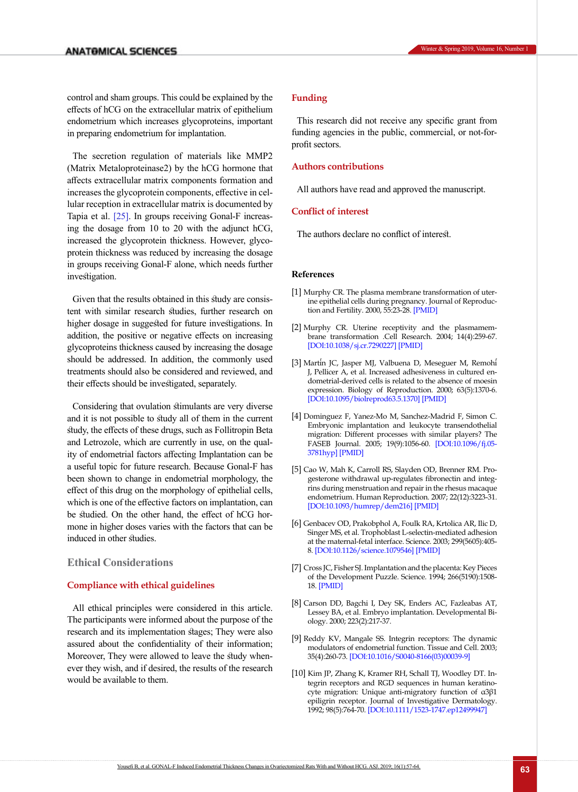control and sham groups. This could be explained by the effects of hCG on the extracellular matrix of epithelium endometrium which increases glycoproteins, important in preparing endometrium for implantation.

The secretion regulation of materials like MMP2 (Matrix Metaloproteinase2) by the hCG hormone that affects extracellular matrix components formation and increases the glycoprotein components, effective in cellular reception in extracellular matrix is documented by Tapia et al. [\[25\].](#page-7-12) In groups receiving Gonal-F increasing the dosage from 10 to 20 with the adjunct hCG, increased the glycoprotein thickness. However, glycoprotein thickness was reduced by increasing the dosage in groups receiving Gonal-F alone, which needs further investigation.

Given that the results obtained in this study are consistent with similar research studies, further research on higher dosage in suggested for future investigations. In addition, the positive or negative effects on increasing glycoproteins thickness caused by increasing the dosage should be addressed. In addition, the commonly used treatments should also be considered and reviewed, and their effects should be investigated, separately.

Considering that ovulation stimulants are very diverse and it is not possible to study all of them in the current study, the effects of these drugs, such as Follitropin Beta and Letrozole, which are currently in use, on the quality of endometrial factors affecting Implantation can be a useful topic for future research. Because Gonal-F has been shown to change in endometrial morphology, the effect of this drug on the morphology of epithelial cells, which is one of the effective factors on implantation, can be studied. On the other hand, the effect of hCG hormone in higher doses varies with the factors that can be induced in other studies.

#### **Ethical Considerations**

#### **Compliance with ethical guidelines**

All ethical principles were considered in this article. The participants were informed about the purpose of the research and its implementation stages; They were also assured about the confidentiality of their information; Moreover, They were allowed to leave the study whenever they wish, and if desired, the results of the research would be available to them.

#### **Funding**

This research did not receive any specific grant from funding agencies in the public, commercial, or not-forprofit sectors.

#### **Authors contributions**

All authors have read and approved the manuscript.

#### **Conflict of interest**

The authors declare no conflict of interest.

#### **References**

- <span id="page-6-0"></span>[1] Murphy CR. The plasma membrane transformation of uterine epithelial cells during pregnancy. Journal of Reproduction and Fertility. 2000, 55:23-28. [\[PMID\]](https://www.ncbi.nlm.nih.gov/pubmed/10889831)
- <span id="page-6-1"></span>[2] Murphy CR. Uterine receptivity and the plasmamembrane transformation .Cell Research. 2004; 14(4):259-67. [\[DOI:10.1038/sj.cr.7290227\]](https://doi.org/10.1038/sj.cr.7290227) [[PMID](https://www.ncbi.nlm.nih.gov/pubmed/15353123)]
- [3] Martin JC, Jasper MJ, Valbuena D, Meseguer M, Remohi **́ ́** J, Pellicer A, et al. Increased adhesiveness in cultured endometrial-derived cells is related to the absence of moesin expression. Biology of Reproduction. 2000; 63(5):1370-6. [\[DOI:10.1095/biolreprod63.5.1370\]](https://doi.org/10.1095/biolreprod63.5.1370) [[PMID](https://www.ncbi.nlm.nih.gov/pubmed/11058540)]
- <span id="page-6-2"></span>[4] Dominguez F, Yanez-Mo M, Sanchez-Madrid F, Simon C. Embryonic implantation and leukocyte transendothelial migration: Different processes with similar players? The FASEB Journal. 2005; 19(9):1056-60. [[DOI:10.1096/fj.05-](https://doi.org/10.1096/fj.05-3781hyp) [3781hyp\]](https://doi.org/10.1096/fj.05-3781hyp) [[PMID](https://www.ncbi.nlm.nih.gov/pubmed/15985528)]
- <span id="page-6-3"></span>[5] Cao W, Mah K, Carroll RS, Slayden OD, Brenner RM. Progesterone withdrawal up-regulates fibronectin and integrins during menstruation and repair in the rhesus macaque endometrium. Human Reproduction. 2007; 22(12):3223-31. [\[DOI:10.1093/humrep/dem216\]](https://doi.org/10.1093/humrep/dem216) [[PMID](https://www.ncbi.nlm.nih.gov/pubmed/17962213)]
- <span id="page-6-4"></span>[6] Genbacev OD, Prakobphol A, Foulk RA, Krtolica AR, Ilic D, Singer MS, et al. Trophoblast L-selectin-mediated adhesion at the maternal-fetal interface. Science. 2003; 299(5605):405- 8. [[DOI:10.1126/science.1079546](https://doi.org/10.1126/science.1079546)] [\[PMID\]](https://www.ncbi.nlm.nih.gov/pubmed/12532021)
- <span id="page-6-5"></span>[7] Cross JC, Fisher SJ. Implantation and the placenta: Key Pieces of the Development Puzzle. Science. 1994; 266(5190):1508- 18. [\[PMID\]](https://www.ncbi.nlm.nih.gov/pubmed/7985020)
- <span id="page-6-6"></span>[8] Carson DD, Bagchi I, Dey SK, Enders AC, Fazleabas AT, Lessey BA, et al. Embryo implantation. Developmental Biology. 2000; 223(2):217-37.
- <span id="page-6-7"></span>[9] Reddy KV, Mangale SS. Integrin receptors: The dynamic modulators of endometrial function. Tissue and Cell. 2003; 35(4):260-73. [\[DOI:10.1016/S0040-8166\(03\)00039-9\]](https://doi.org/10.1016/S0040-8166(03)00039-9)
- <span id="page-6-8"></span>[10] Kim JP, Zhang K, Kramer RH, Schall TJ, Woodley DT. Integrin receptors and RGD sequences in human keratinocyte migration: Unique anti-migratory function of α3β1 epiligrin receptor. Journal of Investigative Dermatology. 1992; 98(5):764-70. [\[DOI:10.1111/1523-1747.ep12499947](https://doi.org/10.1111/1523-1747.ep12499947)]